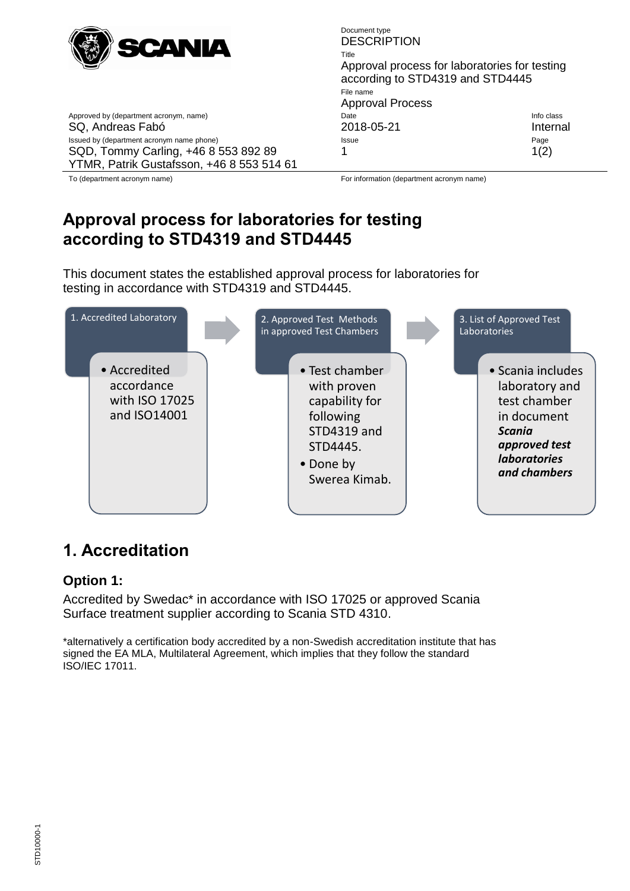

<span id="page-0-0"></span>Document type **DESCRIPTION** Title Approval process for laboratories for testing according to STD4319 and STD4445 File name Approval Process Approved by (department acronym, name) and the Info class of the Info class of the Info class of the Info class SQ, Andreas Fabó 2018-05-21 Internal Issued by (department acronym name phone) **Issue Issue Issue Page** 1  $1(2)$ 

YTMR, Patrik Gustafsson, +46 8 553 514 61

SQD, Tommy Carling, +46 8 553 892 89

To (department acronym name) For information (department acronym name)

## **[Approval process for laboratories for testing](#page-0-0)  [according to STD4319 and STD4445](#page-0-0)**

This document states the established approval process for laboratories for testing in accordance with STD4319 and STD4445.



## **1. Accreditation**

### **Option 1:**

Accredited by Swedac\* in accordance with ISO 17025 or approved Scania Surface treatment supplier according to Scania STD 4310.

\*alternatively a certification body accredited by a non-Swedish accreditation institute that has signed the EA MLA, Multilateral Agreement, which implies that they follow the standard ISO/IEC 17011.